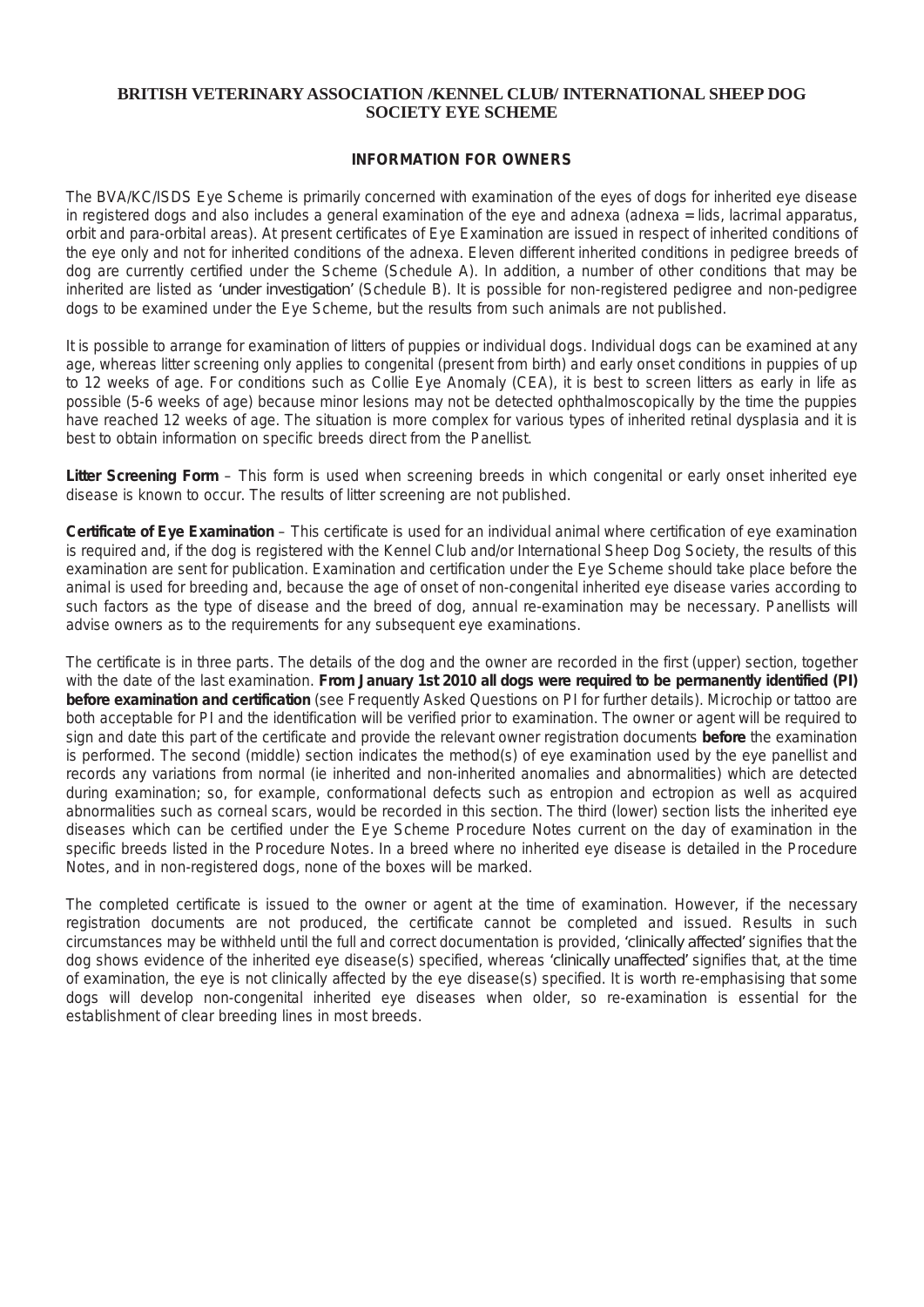## **BRITISH VETERINARY ASSOCIATION /KENNEL CLUB/ INTERNATIONAL SHEEP DOG SOCIETY EYE SCHEME**

## *INFORMATION FOR OWNERS*

The BVA/KC/ISDS Eye Scheme is primarily concerned with examination of the eyes of dogs for inherited eye disease in registered dogs and also includes a general examination of the eye and adnexa (adnexa = lids, lacrimal apparatus, orbit and para-orbital areas). At present certificates of Eye Examination are issued in respect of inherited conditions of the eye only and not for inherited conditions of the adnexa. Eleven different inherited conditions in pedigree breeds of dog are currently certified under the Scheme (Schedule A). In addition, a number of other conditions that may be inherited are listed as 'under investigation' (Schedule B). It is possible for non-registered pedigree and non-pedigree *dogs to be examined under the Eye Scheme, but the results from such animals are not published.*

It is possible to arrange for examination of litters of puppies or individual dogs. Individual dogs can be examined at any age, whereas litter screening only applies to congenital (present from birth) and early onset conditions in puppies of up to 12 weeks of age. For conditions such as Collie Eye Anomaly (CEA), it is best to screen litters as early in life as possible (5-6 weeks of age) because minor lesions may not be detected ophthalmoscopically by the time the puppies have reached 12 weeks of age. The situation is more complex for various types of inherited retinal dysplasia and it is *best to obtain information on specific breeds direct from the Panellist.*

Litter Screening Form - This form is used when screening breeds in which congenital or early onset inherited eye *disease is known to occur. The results of litter screening are not published.*

Certificate of Eye Examination - This certificate is used for an individual animal where certification of eye examination is required and, if the dog is registered with the Kennel Club and/or International Sheep Dog Society, the results of this examination are sent for publication. Examination and certification under the Eye Scheme should take place before the animal is used for breeding and, because the age of onset of non-congenital inherited eye disease varies according to such factors as the type of disease and the breed of dog, annual re-examination may be necessary. Panellists will *advise owners as to the requirements for any subsequent eye examinations.*

The certificate is in three parts. The details of the dog and the owner are recorded in the first (upper) section, together with the date of the last examination. From January 1st 2010 all dogs were required to be permanently identified (PI) **before examination and certification** (see Frequently Asked Questions on PI for further details). Microchip or tattoo are both acceptable for PI and the identification will be verified prior to examination. The owner or agent will be required to sign and date this part of the certificate and provide the relevant owner registration documents before the examination is performed. The second (middle) section indicates the method(s) of eye examination used by the eye panellist and *records any variations from normal (ie inherited and non-inherited anomalies and abnormalities) which are detected during examination; so, for example, conformational defects such as entropion and ectropion as well as acquired* abnormalities such as corneal scars, would be recorded in this section. The third (lower) section lists the inherited eye diseases which can be certified under the Eye Scheme Procedure Notes current on the day of examination in the specific breeds listed in the Procedure Notes. In a breed where no inherited eve disease is detailed in the Procedure *Notes, and in non-registered dogs, none of the boxes will be marked.*

The completed certificate is issued to the owner or agent at the time of examination. However, if the necessary *registration documents are not produced, the certificate cannot be completed and issued. Results in such* circumstances may be withheld until the full and correct documentation is provided, 'clinically affected' signifies that the dog shows evidence of the inherited eye disease(s) specified, whereas 'clinically unaffected' signifies that, at the time of examination, the eye is not clinically affected by the eye disease(s) specified. It is worth re-emphasising that some *dogs will develop non-congenital inherited eye diseases when older, so re-examination is essential for the establishment of clear breeding lines in most breeds.*